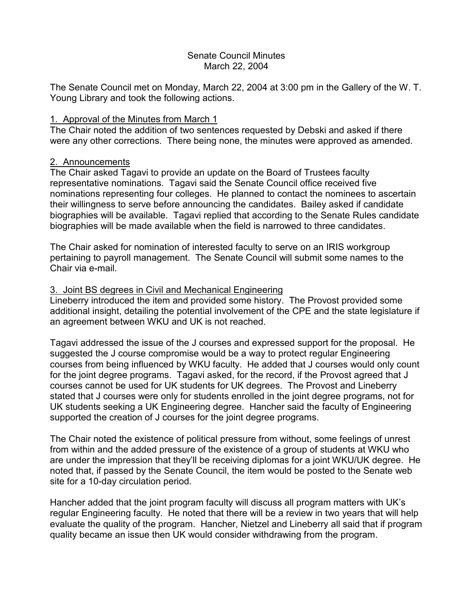# Senate Council Minutes March 22, 2004

The Senate Council met on Monday, March 22, 2004 at 3:00 pm in the Gallery of the W. T. Young Library and took the following actions.

### 1. Approval of the Minutes from March 1

The Chair noted the addition of two sentences requested by Debski and asked if there were any other corrections. There being none, the minutes were approved as amended.

# 2. Announcements

The Chair asked Tagavi to provide an update on the Board of Trustees faculty representative nominations. Tagavi said the Senate Council office received five nominations representing four colleges. He planned to contact the nominees to ascertain their willingness to serve before announcing the candidates. Bailey asked if candidate biographies will be available. Tagavi replied that according to the Senate Rules candidate biographies will be made available when the field is narrowed to three candidates.

The Chair asked for nomination of interested faculty to serve on an IRIS workgroup pertaining to payroll management. The Senate Council will submit some names to the Chair via e-mail.

### 3. Joint BS degrees in Civil and Mechanical Engineering

Lineberry introduced the item and provided some history. The Provost provided some additional insight, detailing the potential involvement of the CPE and the state legislature if an agreement between WKU and UK is not reached.

Tagavi addressed the issue of the J courses and expressed support for the proposal. He suggested the J course compromise would be a way to protect regular Engineering courses from being influenced by WKU faculty. He added that J courses would only count for the joint degree programs. Tagavi asked, for the record, if the Provost agreed that J courses cannot be used for UK students for UK degrees. The Provost and Lineberry stated that J courses were only for students enrolled in the joint degree programs, not for UK students seeking a UK Engineering degree. Hancher said the faculty of Engineering supported the creation of J courses for the joint degree programs.

The Chair noted the existence of political pressure from without, some feelings of unrest from within and the added pressure of the existence of a group of students at WKU who are under the impression that they'll be receiving diplomas for a joint WKU/UK degree. He noted that, if passed by the Senate Council, the item would be posted to the Senate web site for a 10-day circulation period.

Hancher added that the joint program faculty will discuss all program matters with UK's regular Engineering faculty. He noted that there will be a review in two years that will help evaluate the quality of the program. Hancher, Nietzel and Lineberry all said that if program quality became an issue then UK would consider withdrawing from the program.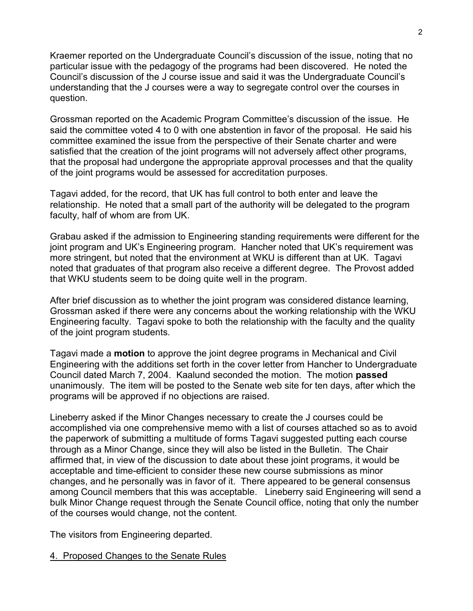Kraemer reported on the Undergraduate Council's discussion of the issue, noting that no particular issue with the pedagogy of the programs had been discovered. He noted the Council's discussion of the J course issue and said it was the Undergraduate Council's understanding that the J courses were a way to segregate control over the courses in question.

Grossman reported on the Academic Program Committee's discussion of the issue. He said the committee voted 4 to 0 with one abstention in favor of the proposal. He said his committee examined the issue from the perspective of their Senate charter and were satisfied that the creation of the joint programs will not adversely affect other programs, that the proposal had undergone the appropriate approval processes and that the quality of the joint programs would be assessed for accreditation purposes.

Tagavi added, for the record, that UK has full control to both enter and leave the relationship. He noted that a small part of the authority will be delegated to the program faculty, half of whom are from UK.

Grabau asked if the admission to Engineering standing requirements were different for the joint program and UK's Engineering program. Hancher noted that UK's requirement was more stringent, but noted that the environment at WKU is different than at UK. Tagavi noted that graduates of that program also receive a different degree. The Provost added that WKU students seem to be doing quite well in the program.

After brief discussion as to whether the joint program was considered distance learning, Grossman asked if there were any concerns about the working relationship with the WKU Engineering faculty. Tagavi spoke to both the relationship with the faculty and the quality of the joint program students.

Tagavi made a **motion** to approve the joint degree programs in Mechanical and Civil Engineering with the additions set forth in the cover letter from Hancher to Undergraduate Council dated March 7, 2004. Kaalund seconded the motion. The motion **passed** unanimously. The item will be posted to the Senate web site for ten days, after which the programs will be approved if no objections are raised.

Lineberry asked if the Minor Changes necessary to create the J courses could be accomplished via one comprehensive memo with a list of courses attached so as to avoid the paperwork of submitting a multitude of forms Tagavi suggested putting each course through as a Minor Change, since they will also be listed in the Bulletin. The Chair affirmed that, in view of the discussion to date about these joint programs, it would be acceptable and time-efficient to consider these new course submissions as minor changes, and he personally was in favor of it. There appeared to be general consensus among Council members that this was acceptable. Lineberry said Engineering will send a bulk Minor Change request through the Senate Council office, noting that only the number of the courses would change, not the content.

The visitors from Engineering departed.

4. Proposed Changes to the Senate Rules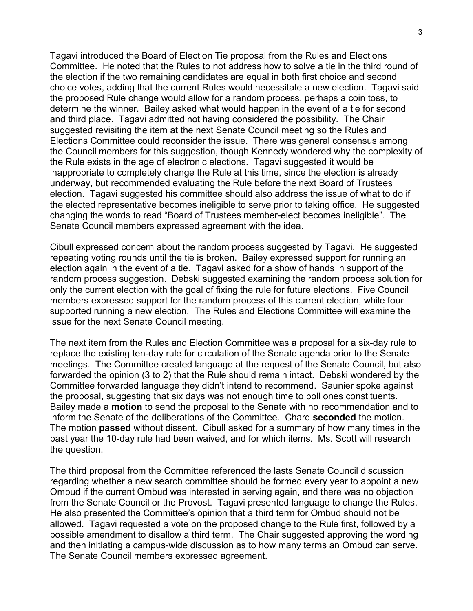Tagavi introduced the Board of Election Tie proposal from the Rules and Elections Committee. He noted that the Rules to not address how to solve a tie in the third round of the election if the two remaining candidates are equal in both first choice and second choice votes, adding that the current Rules would necessitate a new election. Tagavi said the proposed Rule change would allow for a random process, perhaps a coin toss, to determine the winner. Bailey asked what would happen in the event of a tie for second and third place. Tagavi admitted not having considered the possibility. The Chair suggested revisiting the item at the next Senate Council meeting so the Rules and Elections Committee could reconsider the issue. There was general consensus among the Council members for this suggestion, though Kennedy wondered why the complexity of the Rule exists in the age of electronic elections. Tagavi suggested it would be inappropriate to completely change the Rule at this time, since the election is already underway, but recommended evaluating the Rule before the next Board of Trustees election. Tagavi suggested his committee should also address the issue of what to do if the elected representative becomes ineligible to serve prior to taking office. He suggested changing the words to read "Board of Trustees member-elect becomes ineligible". The Senate Council members expressed agreement with the idea.

Cibull expressed concern about the random process suggested by Tagavi. He suggested repeating voting rounds until the tie is broken. Bailey expressed support for running an election again in the event of a tie. Tagavi asked for a show of hands in support of the random process suggestion. Debski suggested examining the random process solution for only the current election with the goal of fixing the rule for future elections. Five Council members expressed support for the random process of this current election, while four supported running a new election. The Rules and Elections Committee will examine the issue for the next Senate Council meeting.

The next item from the Rules and Election Committee was a proposal for a six-day rule to replace the existing ten-day rule for circulation of the Senate agenda prior to the Senate meetings. The Committee created language at the request of the Senate Council, but also forwarded the opinion (3 to 2) that the Rule should remain intact. Debski wondered by the Committee forwarded language they didn't intend to recommend. Saunier spoke against the proposal, suggesting that six days was not enough time to poll ones constituents. Bailey made a **motion** to send the proposal to the Senate with no recommendation and to inform the Senate of the deliberations of the Committee. Chard **seconded** the motion. The motion **passed** without dissent. Cibull asked for a summary of how many times in the past year the 10-day rule had been waived, and for which items. Ms. Scott will research the question.

The third proposal from the Committee referenced the lasts Senate Council discussion regarding whether a new search committee should be formed every year to appoint a new Ombud if the current Ombud was interested in serving again, and there was no objection from the Senate Council or the Provost. Tagavi presented language to change the Rules. He also presented the Committee's opinion that a third term for Ombud should not be allowed. Tagavi requested a vote on the proposed change to the Rule first, followed by a possible amendment to disallow a third term. The Chair suggested approving the wording and then initiating a campus-wide discussion as to how many terms an Ombud can serve. The Senate Council members expressed agreement.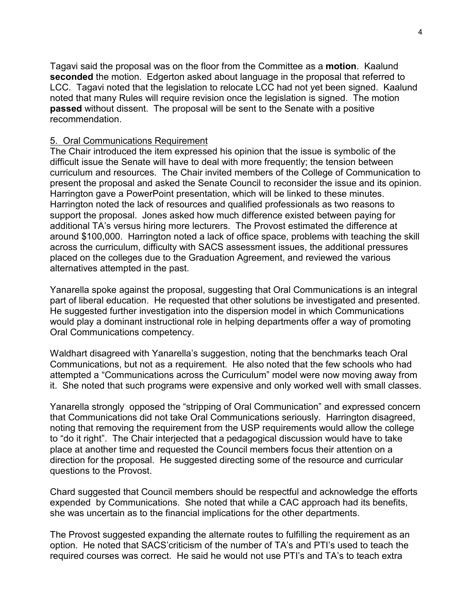Tagavi said the proposal was on the floor from the Committee as a **motion**. Kaalund **seconded** the motion. Edgerton asked about language in the proposal that referred to LCC. Tagavi noted that the legislation to relocate LCC had not yet been signed. Kaalund noted that many Rules will require revision once the legislation is signed. The motion **passed** without dissent. The proposal will be sent to the Senate with a positive recommendation.

### 5. Oral Communications Requirement

The Chair introduced the item expressed his opinion that the issue is symbolic of the difficult issue the Senate will have to deal with more frequently; the tension between curriculum and resources. The Chair invited members of the College of Communication to present the proposal and asked the Senate Council to reconsider the issue and its opinion. Harrington gave a PowerPoint presentation, which will be linked to these minutes. Harrington noted the lack of resources and qualified professionals as two reasons to support the proposal. Jones asked how much difference existed between paying for additional TA's versus hiring more lecturers. The Provost estimated the difference at around \$100,000. Harrington noted a lack of office space, problems with teaching the skill across the curriculum, difficulty with SACS assessment issues, the additional pressures placed on the colleges due to the Graduation Agreement, and reviewed the various alternatives attempted in the past.

Yanarella spoke against the proposal, suggesting that Oral Communications is an integral part of liberal education. He requested that other solutions be investigated and presented. He suggested further investigation into the dispersion model in which Communications would play a dominant instructional role in helping departments offer a way of promoting Oral Communications competency.

Waldhart disagreed with Yanarella's suggestion, noting that the benchmarks teach Oral Communications, but not as a requirement. He also noted that the few schools who had attempted a "Communications across the Curriculum" model were now moving away from it. She noted that such programs were expensive and only worked well with small classes.

Yanarella strongly opposed the "stripping of Oral Communication" and expressed concern that Communications did not take Oral Communications seriously. Harrington disagreed, noting that removing the requirement from the USP requirements would allow the college to "do it right". The Chair interjected that a pedagogical discussion would have to take place at another time and requested the Council members focus their attention on a direction for the proposal. He suggested directing some of the resource and curricular questions to the Provost.

Chard suggested that Council members should be respectful and acknowledge the efforts expended by Communications. She noted that while a CAC approach had its benefits, she was uncertain as to the financial implications for the other departments.

The Provost suggested expanding the alternate routes to fulfilling the requirement as an option. He noted that SACS'criticism of the number of TA's and PTI's used to teach the required courses was correct. He said he would not use PTI's and TA's to teach extra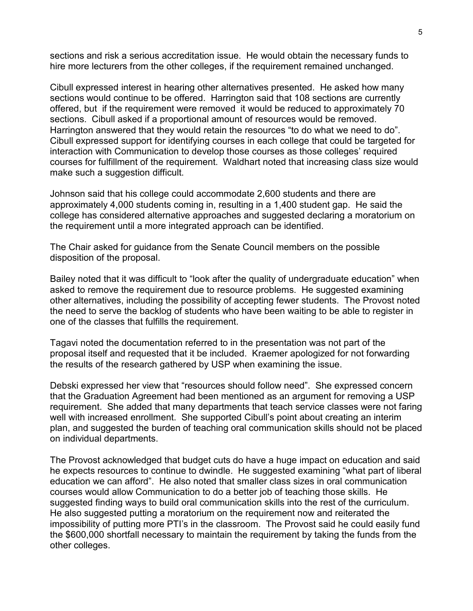sections and risk a serious accreditation issue. He would obtain the necessary funds to hire more lecturers from the other colleges, if the requirement remained unchanged.

Cibull expressed interest in hearing other alternatives presented. He asked how many sections would continue to be offered. Harrington said that 108 sections are currently offered, but if the requirement were removed it would be reduced to approximately 70 sections. Cibull asked if a proportional amount of resources would be removed. Harrington answered that they would retain the resources "to do what we need to do". Cibull expressed support for identifying courses in each college that could be targeted for interaction with Communication to develop those courses as those colleges' required courses for fulfillment of the requirement. Waldhart noted that increasing class size would make such a suggestion difficult.

Johnson said that his college could accommodate 2,600 students and there are approximately 4,000 students coming in, resulting in a 1,400 student gap. He said the college has considered alternative approaches and suggested declaring a moratorium on the requirement until a more integrated approach can be identified.

The Chair asked for guidance from the Senate Council members on the possible disposition of the proposal.

Bailey noted that it was difficult to "look after the quality of undergraduate education" when asked to remove the requirement due to resource problems. He suggested examining other alternatives, including the possibility of accepting fewer students. The Provost noted the need to serve the backlog of students who have been waiting to be able to register in one of the classes that fulfills the requirement.

Tagavi noted the documentation referred to in the presentation was not part of the proposal itself and requested that it be included. Kraemer apologized for not forwarding the results of the research gathered by USP when examining the issue.

Debski expressed her view that "resources should follow need". She expressed concern that the Graduation Agreement had been mentioned as an argument for removing a USP requirement. She added that many departments that teach service classes were not faring well with increased enrollment. She supported Cibull's point about creating an interim plan, and suggested the burden of teaching oral communication skills should not be placed on individual departments.

The Provost acknowledged that budget cuts do have a huge impact on education and said he expects resources to continue to dwindle. He suggested examining "what part of liberal education we can afford". He also noted that smaller class sizes in oral communication courses would allow Communication to do a better job of teaching those skills. He suggested finding ways to build oral communication skills into the rest of the curriculum. He also suggested putting a moratorium on the requirement now and reiterated the impossibility of putting more PTI's in the classroom. The Provost said he could easily fund the \$600,000 shortfall necessary to maintain the requirement by taking the funds from the other colleges.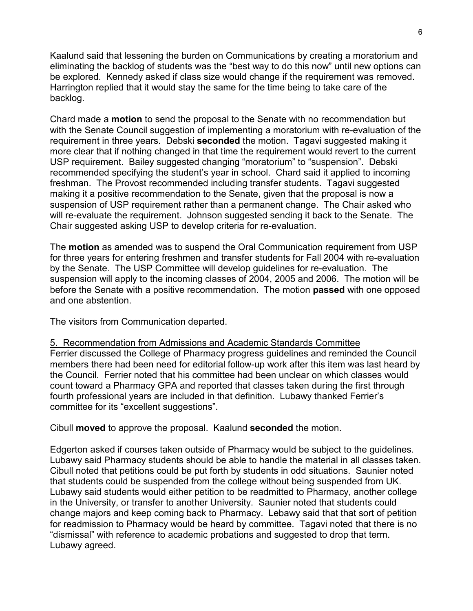Kaalund said that lessening the burden on Communications by creating a moratorium and eliminating the backlog of students was the "best way to do this now" until new options can be explored. Kennedy asked if class size would change if the requirement was removed. Harrington replied that it would stay the same for the time being to take care of the backlog.

Chard made a **motion** to send the proposal to the Senate with no recommendation but with the Senate Council suggestion of implementing a moratorium with re-evaluation of the requirement in three years. Debski **seconded** the motion. Tagavi suggested making it more clear that if nothing changed in that time the requirement would revert to the current USP requirement. Bailey suggested changing "moratorium" to "suspension". Debski recommended specifying the student's year in school. Chard said it applied to incoming freshman. The Provost recommended including transfer students. Tagavi suggested making it a positive recommendation to the Senate, given that the proposal is now a suspension of USP requirement rather than a permanent change. The Chair asked who will re-evaluate the requirement. Johnson suggested sending it back to the Senate. The Chair suggested asking USP to develop criteria for re-evaluation.

The **motion** as amended was to suspend the Oral Communication requirement from USP for three years for entering freshmen and transfer students for Fall 2004 with re-evaluation by the Senate. The USP Committee will develop guidelines for re-evaluation. The suspension will apply to the incoming classes of 2004, 2005 and 2006. The motion will be before the Senate with a positive recommendation. The motion **passed** with one opposed and one abstention.

The visitors from Communication departed.

committee for its "excellent suggestions".

5. Recommendation from Admissions and Academic Standards Committee Ferrier discussed the College of Pharmacy progress guidelines and reminded the Council members there had been need for editorial follow-up work after this item was last heard by the Council. Ferrier noted that his committee had been unclear on which classes would count toward a Pharmacy GPA and reported that classes taken during the first through fourth professional years are included in that definition. Lubawy thanked Ferrier's

Cibull **moved** to approve the proposal. Kaalund **seconded** the motion.

Edgerton asked if courses taken outside of Pharmacy would be subject to the guidelines. Lubawy said Pharmacy students should be able to handle the material in all classes taken. Cibull noted that petitions could be put forth by students in odd situations. Saunier noted that students could be suspended from the college without being suspended from UK. Lubawy said students would either petition to be readmitted to Pharmacy, another college in the University, or transfer to another University. Saunier noted that students could change majors and keep coming back to Pharmacy. Lebawy said that that sort of petition for readmission to Pharmacy would be heard by committee. Tagavi noted that there is no "dismissal" with reference to academic probations and suggested to drop that term. Lubawy agreed.